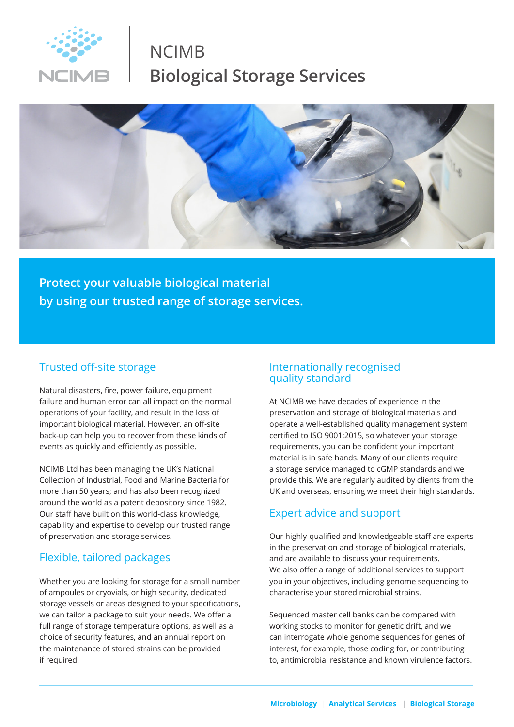

# NCIMB **Biological Storage Services**



**Protect your valuable biological material by using our trusted range of storage services.**

#### Trusted off-site storage

Natural disasters, fire, power failure, equipment failure and human error can all impact on the normal operations of your facility, and result in the loss of important biological material. However, an off-site back-up can help you to recover from these kinds of events as quickly and efficiently as possible.

NCIMB Ltd has been managing the UK's National Collection of Industrial, Food and Marine Bacteria for more than 50 years; and has also been recognized around the world as a patent depository since 1982. Our staff have built on this world-class knowledge, capability and expertise to develop our trusted range of preservation and storage services.

### Flexible, tailored packages

Whether you are looking for storage for a small number of ampoules or cryovials, or high security, dedicated storage vessels or areas designed to your specifications, we can tailor a package to suit your needs. We offer a full range of storage temperature options, as well as a choice of security features, and an annual report on the maintenance of stored strains can be provided if required.

#### Internationally recognised quality standard

At NCIMB we have decades of experience in the preservation and storage of biological materials and operate a well-established quality management system certified to ISO 9001:2015, so whatever your storage requirements, you can be confident your important material is in safe hands. Many of our clients require a storage service managed to cGMP standards and we provide this. We are regularly audited by clients from the UK and overseas, ensuring we meet their high standards.

#### Expert advice and support

Our highly-qualified and knowledgeable staff are experts in the preservation and storage of biological materials, and are available to discuss your requirements. We also offer a range of additional services to support you in your objectives, including genome sequencing to characterise your stored microbial strains.

Sequenced master cell banks can be compared with working stocks to monitor for genetic drift, and we can interrogate whole genome sequences for genes of interest, for example, those coding for, or contributing to, antimicrobial resistance and known virulence factors.